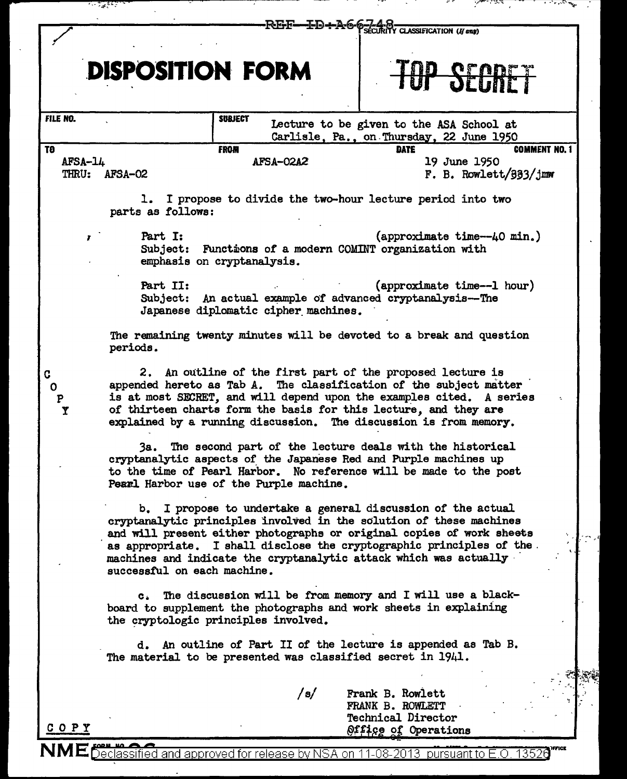|                    | n anggaran                                                                                                                                                                                                                                                                                                                                                                                   |           |                                                                                           |  |
|--------------------|----------------------------------------------------------------------------------------------------------------------------------------------------------------------------------------------------------------------------------------------------------------------------------------------------------------------------------------------------------------------------------------------|-----------|-------------------------------------------------------------------------------------------|--|
|                    |                                                                                                                                                                                                                                                                                                                                                                                              |           | REE-ID+A6-6-Z48                                                                           |  |
|                    | <b>DISPOSITION FORM</b>                                                                                                                                                                                                                                                                                                                                                                      |           | <b>SENNET</b>                                                                             |  |
| FILE NO.           | <b>SUBJECT</b>                                                                                                                                                                                                                                                                                                                                                                               |           | Lecture to be given to the ASA School at<br>Carlisle, Pa., on Thursday, 22 June 1950      |  |
| TØ.<br>$AFSA-14$   | <b>FROM</b><br>THRU: AFSA-02                                                                                                                                                                                                                                                                                                                                                                 | AFSA-02A2 | <b>COMMENT NO. 1</b><br><b>DATE</b><br>19 June 1950<br>F. B. Rowlett/ $\frac{333}{j}$ mw  |  |
|                    | parts as follows:                                                                                                                                                                                                                                                                                                                                                                            |           | 1. I propose to divide the two-hour lecture period into two                               |  |
| 7                  | Part I:<br>emphasis on cryptanalysis.                                                                                                                                                                                                                                                                                                                                                        |           | (approximate time--40 min.)<br>Subject: Functions of a modern COMINT organization with    |  |
|                    | Part II:<br>(approximate time--1 hour)<br>Subject: An actual example of advanced cryptanalysis--The<br>Japanese diplomatic cipher machines.                                                                                                                                                                                                                                                  |           |                                                                                           |  |
|                    | periods.                                                                                                                                                                                                                                                                                                                                                                                     |           | The remaining twenty minutes will be devoted to a break and question                      |  |
| 0<br>$\frac{P}{Y}$ | 2. An outline of the first part of the proposed lecture is<br>appended hereto as Tab A. The classification of the subject matter<br>is at most SECRET, and will depend upon the examples cited. A series<br>of thirteen charts form the basis for this lecture, and they are<br>explained by a running discussion. The discussion is from memory.                                            |           |                                                                                           |  |
|                    | The second part of the lecture deals with the historical<br>3а.<br>cryptanalytic aspects of the Japanese Red and Purple machines up<br>to the time of Pearl Harbor. No reference will be made to the post<br>Pearl Harbor use of the Purple machine.                                                                                                                                         |           |                                                                                           |  |
|                    | I propose to undertake a general discussion of the actual<br>b.<br>cryptanalytic principles involved in the solution of these machines<br>and will present either photographs or original copies of work sheets<br>as appropriate. I shall disclose the cryptographic principles of the.<br>machines and indicate the cryptanalytic attack which was actually<br>successful on each machine. |           |                                                                                           |  |
|                    | The discussion will be from memory and I will use a black-<br>$\mathbf{c}$ .<br>board to supplement the photographs and work sheets in explaining<br>the cryptologic principles involved.                                                                                                                                                                                                    |           |                                                                                           |  |
|                    | The material to be presented was classified secret in 1941.                                                                                                                                                                                                                                                                                                                                  |           | d. An outline of Part II of the lecture is appended as Tab B.                             |  |
|                    |                                                                                                                                                                                                                                                                                                                                                                                              | /s/       | Frank B. Rowlett<br>FRANK B. ROWLETT<br><b>Technical Director</b><br>Office of Operations |  |

NME **Declassified and approved for release by NSA on 11-08-2013** pursuant to E.O. 13528<sup>""C</sup>

 $\overline{\phantom{a}}$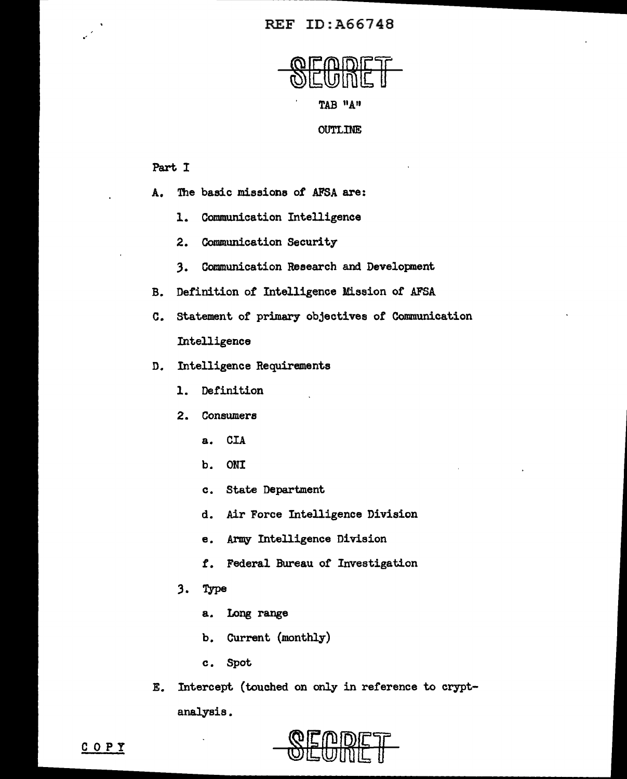# REF ID:A66748



### Part I

•'

- A. The basic missions of AFSA are:
	- l. Communication Intelligence
	- 2. Communication Security
	- 3. Communication Research and Development
- B. Definition *ot* Intelligence Mission of AFSA
- c. Statement of primary objectives of Communication Intelligence
- D. Intelligence Requirements
	- 1. Definition
	- 2. Consumers
		- a. CIA
		- b. ONI
		- c. State Department
		- d. Air Force Intelligence Division
		- e. Army Intelligence Division
		- *t.* Federal Bureau of Investigation
	- 3. Type
		- a. Long range
		- b. Current {monthly)
		- c. Spot
- E. Intercept (touched on only in reference to cryptanalysis.



COPY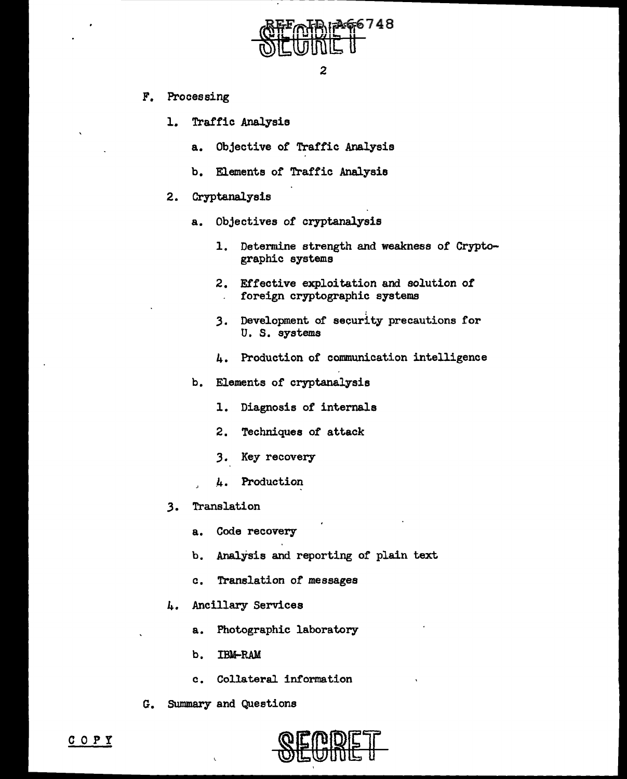

- F. Processing
	- l. Traffic Analysis
		- a. Objective of Traffic Analysis
		- b. Elements or Traffic Analysis
	- 2. Cryptanalysis
		- a. Objectives of cryptanalysis
			- 1. Determine strength and weakness of Cryptographic systems
			- 2. Effective exploitation and solution *of*  foreign cryptographic systems
			- 3. Development of security precautions for U. S. systems
			- 4. Production of communication intelligence
		- b. Elements of cryptanalysis
			- 1. Diagnosis of internals
			- 2. Techniques of attack
			- J. Key recovery
			- \_4. Production
	- 3. Translation
		- a. Code recovery
		- b. Analysis and reporting of plain text
		- a. Translation of messages
	- 4. Ancillary Services
		- a. Photographic laboratory
		- b. IBM-RAM
		- c. Collateral information
- G. Summary and Questions

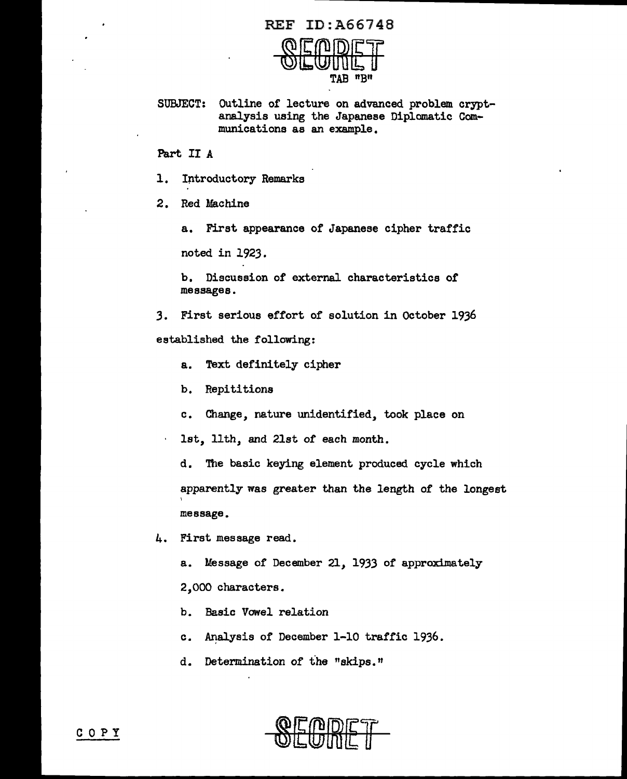#### REF ID:A66748



SUBJECT: Outline of lecture on advanced problem cryptanalysis using the Japanese Diplomatic Communications as an example.

Part II A

1. Iritroductory Remarks

2. Red Machine

a. First appearance of Japanese cipher traffic

noted in 1923.

b. Discussion of external characteristics or messages.

3. First serious effort of solution in October 1936 established the following:

- a. Text definitely cipher
- b. Repititions
- c. Change, nature unidentified, took place on

1st, 11th, and 21st of each month.

d. The basic keying element produced cycle which apparently was greater than the length of the longest \ message.

4. First message read.

a. Message of December 21, 1933 of approximately 2,000 characters.

- b. Basic Vowel relation
- c. Analysis of December 1-10 traffic 1936.

d. Determination of the "skips."

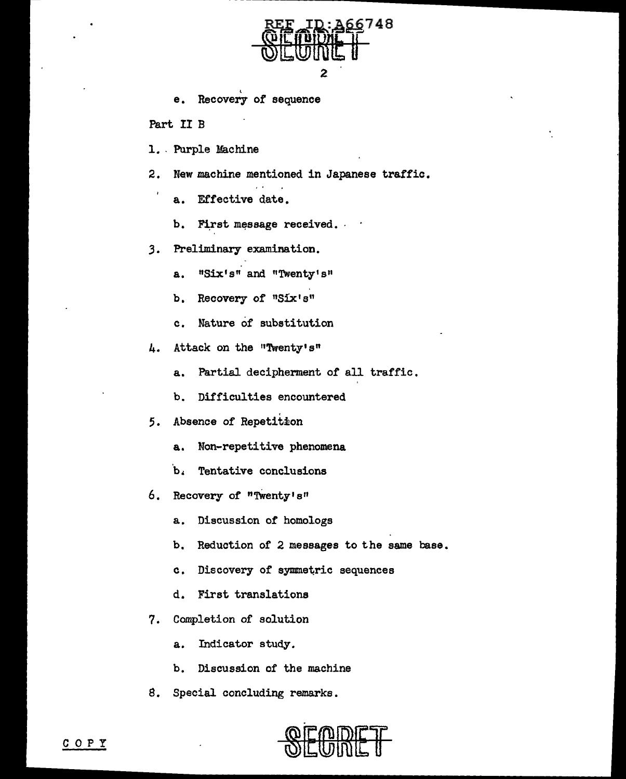

e. Recovery of sequence

Part II B

1. Purple Machine

2. New machine mentioned in Japanese traffic.

- a. Effective date.
- b. First message received.
- *3.* Preliminary examination.
	- a. "Six's" and "Twenty's"
	- b. Recovery of "Six's"
	- c. Nature of substitution
- 4. Attack on the "Twenty's"
	- a. Partial decipherment of all traffic.
	- b. Difficulties encountered
- *5.* Absence of Repetition
	- a. Non-repetitive phenomena
	- ·b. Tentative conclusions
- 6. Recovery of "TWenty's"
	- a. Discussion of homologs
	- b. Reduction of 2 messages to the same base.
	- c. Discovery of symmetric sequences
	- d. First translations
- 7. Completion of solution
	- a. Indicator study.
	- b. Discussion of the machine
- 8. Special concluding remarks.

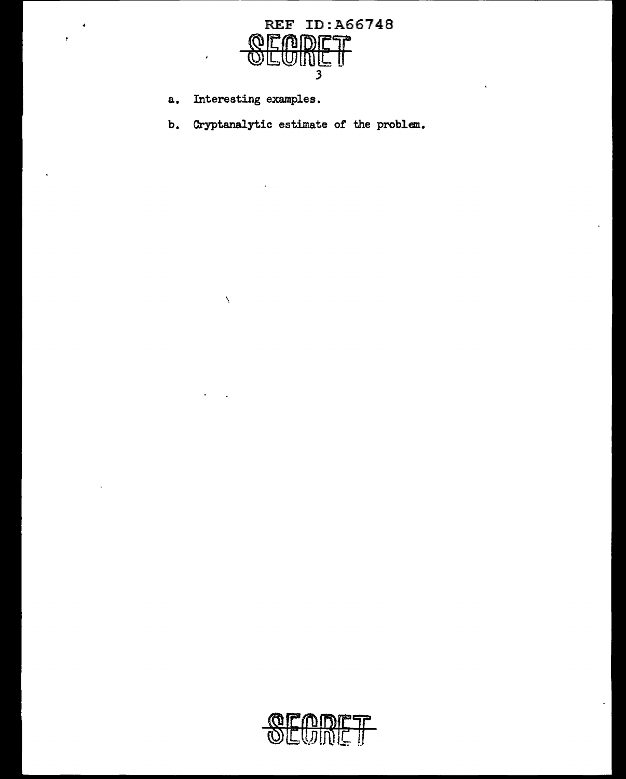

a. Interesting examples.

 $\bar{\lambda}$ 

b. Cryptanalytic estimate or the problem.

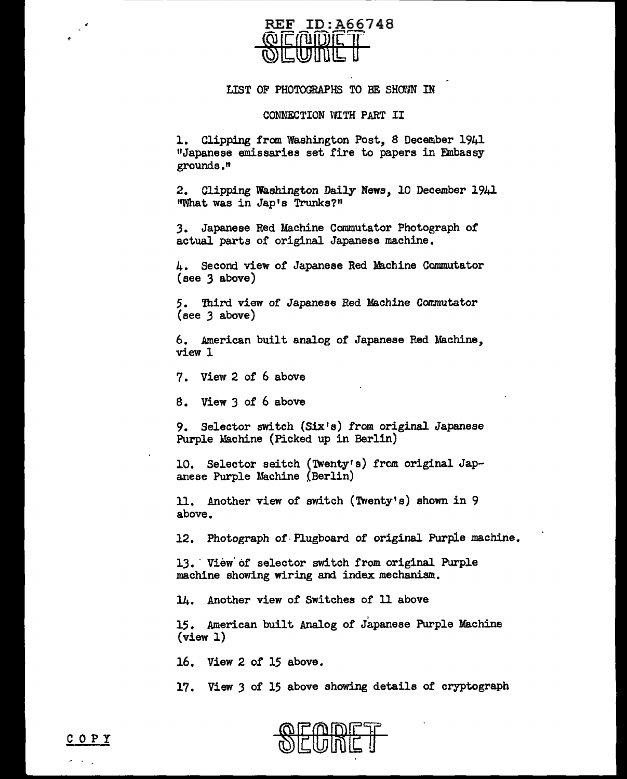

## LIST OF PHOTOGRAPHS TO BE SHOWN IN

#### CONNECTION WITH PART II

1. Clipping from Washington Post, 8 December 1941 "Japanese emissaries set fire to papers in Embassy grounds."

2. Clipping Washington Daily News, 10 December 1941 "What was in Jap's Trunks?"

3. Japanese Red Machine Commutator Photograph of actual parts of original Japanese machine.

4. Second view of Japanese Red Machine Commutator (see *3* above)

*5.* Third view of Japanese Red Machine Commutator (see *3* above)

6. American built analog of Japanese Red Machine, view 1

7. View 2 of 6 above

8. View 3 of 6 above

9. Selector switch (Six's) from original Japanese Purple Machine (Picked up in Berlin)

10. Selector seitch (Twenty's) from original Japanese Purple Machine (Berlin)

11. Another view of switch (Twenty's) shown in 9 above.

12. Photograph of·Plugboard of original Purple machine.

13. View of selector switch from original Purple machine showing wiring and index mechanism.

14. Another view of Switches of 11 above

<sup>I</sup>15. American built Analog of Japanese Purple Machine  $(view 1)$ 

16. View 2 of 15 above.

17. View 3 of 15 above showing details of cryptograph



COPY

 $\sim 100$  km s  $^{-1}$